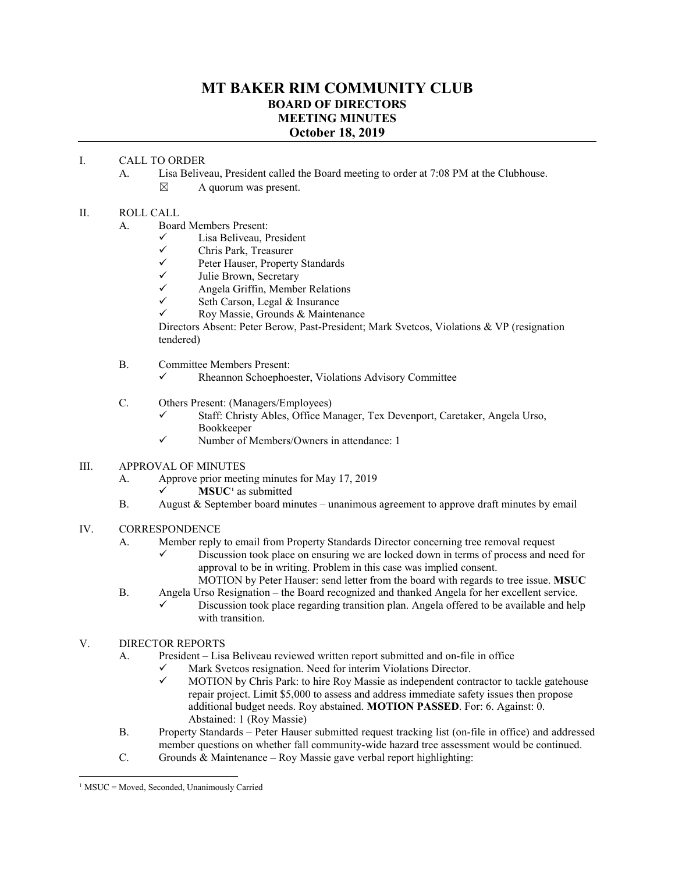## **MT BAKER RIM COMMUNITY CLUB BOARD OF DIRECTORS MEETING MINUTES October 18, 2019**

## I. CALL TO ORDER

A. Lisa Beliveau, President called the Board meeting to order at 7:08 PM at the Clubhouse.

 $\boxtimes$  A quorum was present.

## II. ROLL CALL

- A. Board Members Present:
	- $\checkmark$  Lisa Beliveau, President<br>
	Chris Park Treasurer
	- $\checkmark$  Chris Park, Treasurer<br> $\checkmark$  Peter Hauser Property
	- $\checkmark$  Peter Hauser, Property Standards<br> $\checkmark$  Julie Brown Secretary
	- $\checkmark$  Julie Brown, Secretary<br> $\checkmark$  Angela Griffin Membe
	- $\checkmark$  Angela Griffin, Member Relations<br> $\checkmark$  Seth Carson Legal & Insurance
	- Seth Carson, Legal & Insurance
	- Roy Massie, Grounds & Maintenance

Directors Absent: Peter Berow, Past-President; Mark Svetcos, Violations & VP (resignation tendered)

- B. Committee Members Present:
	- $\checkmark$  Rheannon Schoephoester, Violations Advisory Committee
- C. Others Present: (Managers/Employees)
	- $\checkmark$  Staff: Christy Ables, Office Manager, Tex Devenport, Caretaker, Angela Urso, Bookkeeper
	- $\checkmark$  Number of Members/Owners in attendance: 1
- III. APPROVAL OF MINUTES
	- A. Approve prior meeting minutes for May 17, 2019
		- $\checkmark$  **MSUC<sup>[1](#page-0-0)</sup>** as submitted
	- B. August & September board minutes unanimous agreement to approve draft minutes by email
- IV. CORRESPONDENCE
	- A. Member reply to email from Property Standards Director concerning tree removal request
		- $\checkmark$  Discussion took place on ensuring we are locked down in terms of process and need for approval to be in writing. Problem in this case was implied consent.

MOTION by Peter Hauser: send letter from the board with regards to tree issue. **MSUC**

- B. Angela Urso Resignation the Board recognized and thanked Angela for her excellent service. Discussion took place regarding transition plan. Angela offered to be available and help with transition.
- V. DIRECTOR REPORTS
	- A. President Lisa Beliveau reviewed written report submitted and on-file in office
		- $\checkmark$  Mark Svetcos resignation. Need for interim Violations Director.<br> $\checkmark$  MOTION by Chris Park: to hire Roy Massie as independent con
		- MOTION by Chris Park: to hire Roy Massie as independent contractor to tackle gatehouse repair project. Limit \$5,000 to assess and address immediate safety issues then propose additional budget needs. Roy abstained. **MOTION PASSED**. For: 6. Against: 0. Abstained: 1 (Roy Massie)
	- B. Property Standards Peter Hauser submitted request tracking list (on-file in office) and addressed member questions on whether fall community-wide hazard tree assessment would be continued.
	- C. Grounds & Maintenance Roy Massie gave verbal report highlighting:

<span id="page-0-0"></span> $1$  MSUC = Moved, Seconded, Unanimously Carried